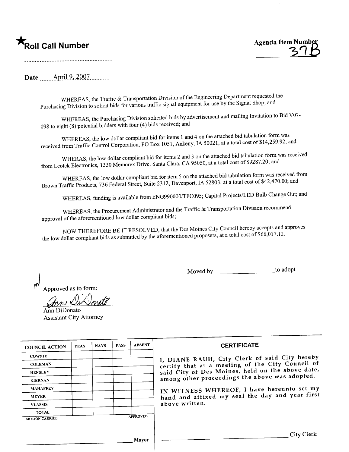## .<br>Roll Call Number



Date <u>April 9, 2007</u>

WHEREAS, the Traffic & Transportation Division of the Engineering Department requested the Purchasing Division to solicit bids for various traffic signal equipment for use by the Signal Shop; and

WHEREAS, the Purchasing Division solicited bids by advertisement and mailing Invitation to Bid V07-098 to eight (8) potential bidders with four (4) bids received; and

WHEREAS, the low dollar compliant bid for items 1 and 4 on the attached bid tabulation form was received from Traffic Control Corporation, PO Box 1051, Ankeny, IA 50021, at a total cost of \$14,259.92; and

WHERAS, the low dollar compliant bid for items 2 and 3 on the attached bid tabulation form was received from Leotek Electronics, 1330 Memorex Drive, Santa Clara, CA 95050, at a total cost of \$9287.20; and

WHEREAS, the low dollar compliant bid for item 5 on the attached bid tabulation form was received from Brown Traffic Products, 736 Federal Street, Suite 2312, Davenport, IA 52803, at a total cost of \$42,470.00; and

WHEREAS, funding is available from ENG990000/TFC095; Capital Projects/LED Bulb Change Out; and

WHEREAS, the Procurement Administrator and the Traffic & Transportation Division recommend approval of the aforementioned low dollar compliant bids;

NOW THEREFORE BE IT RESOLVED, that the Des Moines City Council hereby accepts and approves the low dollar compliant bids as submitted by the aforementioned proposers, at a total cost of \$66,017.12.

> to adopt

Approved as to form:

Ann DiDonato **Assistant City Attorney** 

| <b>COUNCIL ACTION</b> | <b>YEAS</b> | <b>NAYS</b> | <b>PASS</b> | <b>ABSENT</b>   | <b>CERTIFICATE</b>                               |
|-----------------------|-------------|-------------|-------------|-----------------|--------------------------------------------------|
| <b>COWNIE</b>         |             |             |             |                 | I, DIANE RAUH, City Clerk of said City hereby    |
| <b>COLEMAN</b>        |             |             |             |                 | certify that at a meeting of the City Council of |
| <b>HENSLEY</b>        |             |             |             |                 | said City of Des Moines, held on the above date, |
| <b>KIERNAN</b>        |             |             |             |                 | among other proceedings the above was adopted.   |
| <b>MAHAFFEY</b>       |             |             |             |                 | IN WITNESS WHEREOF, I have hereunto set my       |
| <b>MEYER</b>          |             |             |             |                 | hand and affixed my seal the day and year first  |
| <b>VLASSIS</b>        |             |             |             |                 | above written.                                   |
| <b>TOTAL</b>          |             |             |             |                 |                                                  |
| <b>MOTION CARRIED</b> |             |             |             | <b>APPROVED</b> |                                                  |
|                       |             |             |             |                 |                                                  |
|                       |             |             |             |                 | <b>City Clerk</b>                                |
|                       |             |             |             | <b>Mayor</b>    |                                                  |